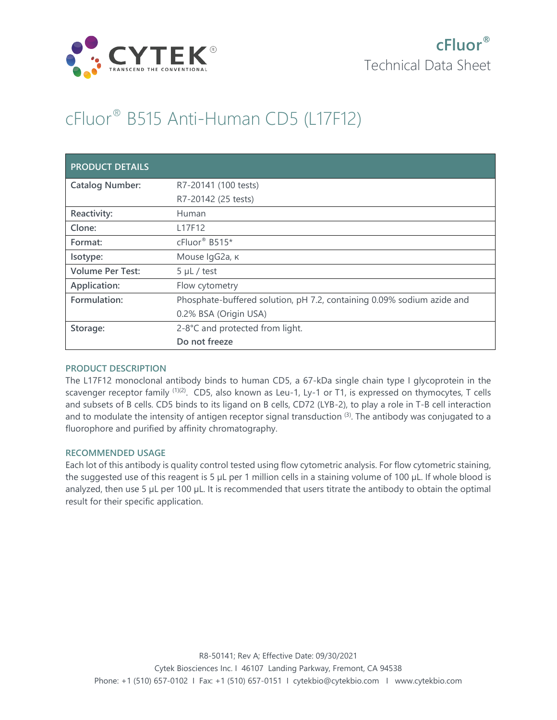

## cFluor® B515 Anti-Human CD5 (L17F12)

| <b>PRODUCT DETAILS</b>  |                                                                        |
|-------------------------|------------------------------------------------------------------------|
| <b>Catalog Number:</b>  | R7-20141 (100 tests)                                                   |
|                         | R7-20142 (25 tests)                                                    |
| Reactivity:             | Human                                                                  |
| Clone:                  | L17F12                                                                 |
| Format:                 | cFluor <sup>®</sup> B515*                                              |
| Isotype:                | Mouse IgG2a, к                                                         |
| <b>Volume Per Test:</b> | $5 \mu L$ / test                                                       |
| Application:            | Flow cytometry                                                         |
| Formulation:            | Phosphate-buffered solution, pH 7.2, containing 0.09% sodium azide and |
|                         | 0.2% BSA (Origin USA)                                                  |
| Storage:                | 2-8°C and protected from light.                                        |
|                         | Do not freeze                                                          |

## **PRODUCT DESCRIPTION**

The L17F12 monoclonal antibody binds to human CD5, a 67-kDa single chain type I glycoprotein in the scavenger receptor family <sup>(1)(2)</sup>. CD5, also known as Leu-1, Ly-1 or T1, is expressed on thymocytes, T cells and subsets of B cells. CD5 binds to its ligand on B cells, CD72 (LYB-2), to play a role in T-B cell interaction and to modulate the intensity of antigen receptor signal transduction  $(3)$ . The antibody was conjugated to a fluorophore and purified by affinity chromatography.

## **RECOMMENDED USAGE**

Each lot of this antibody is quality control tested using flow cytometric analysis. For flow cytometric staining, the suggested use of this reagent is 5 µL per 1 million cells in a staining volume of 100 µL. If whole blood is analyzed, then use 5 µL per 100 µL. It is recommended that users titrate the antibody to obtain the optimal result for their specific application.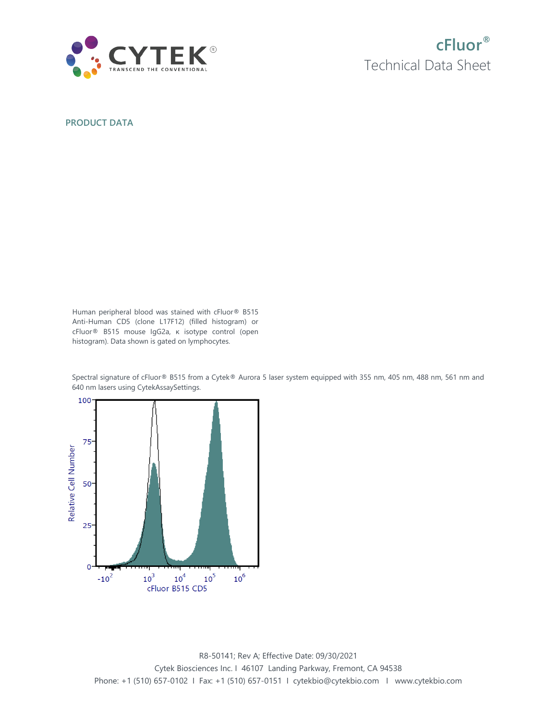

**PRODUCT DATA**

Human peripheral blood was stained with cFluor® B515 Anti-Human CD5 (clone L17F12) (filled histogram) or cFluor® B515 mouse IgG2a, κ isotype control (open histogram). Data shown is gated on lymphocytes.

Spectral signature of cFluor® B515 from a Cytek® Aurora 5 laser system equipped with 355 nm, 405 nm, 488 nm, 561 nm and 640 nm lasers using CytekAssaySettings.